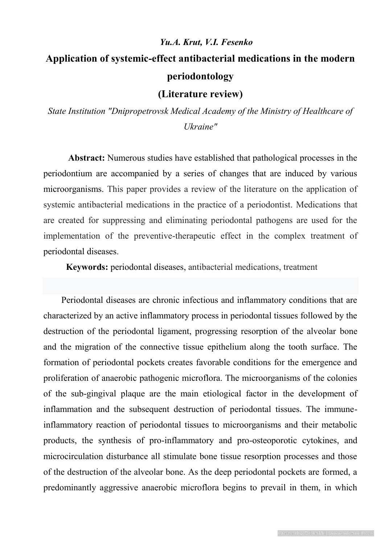# *Yu.A. Krut, V.I. Fesenko* **Application of systemic-effect antibacterial medications in the modern periodontology**

# **(Literature review)**

*State Institution "Dnipropetrovsk Medical Academy of the Ministry of Healthcare of Ukraine"*

 **Abstract:** Numerous studies have established that pathological processes in the periodontium are accompanied by a series of changes that are induced by various microorganisms. This paper provides a review of the literature on the application of systemic antibacterial medications in the practice of a periodontist. Medications that are created for suppressing and eliminating periodontal pathogens are used for the implementation of the preventive-therapeutic effect in the complex treatment of periodontal diseases.

 **Keywords:** periodontal diseases, antibacterial medications, treatment

 Periodontal diseases are chronic infectious and inflammatory conditions that are characterized by an active inflammatory process in periodontal tissues followed by the destruction of the periodontal ligament, progressing resorption of the alveolar bone and the migration of the connective tissue epithelium along the tooth surface. The formation of periodontal pockets creates favorable conditions for the emergence and proliferation of anaerobic pathogenic microflora. The microorganisms of the colonies of the sub-gingival plaque are the main etiological factor in the development of inflammation and the subsequent destruction of periodontal tissues. The immuneinflammatory reaction of periodontal tissues to microorganisms and their metabolic products, the synthesis of pro-inflammatory and pro-osteoporotic cytokines, and microcirculation disturbance all stimulate bone tissue resorption processes and those of the destruction of the alveolar bone. As the deep periodontal pockets are formed, a predominantly aggressive anaerobic microflora begins to prevail in them, in which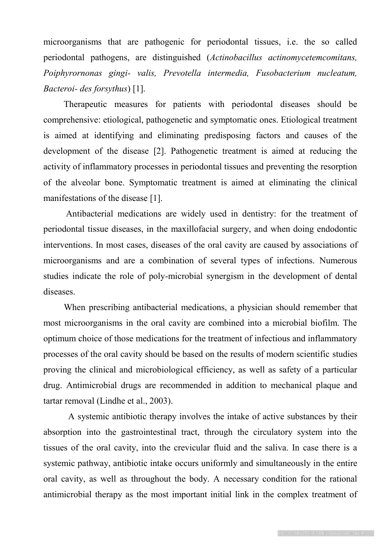microorganisms that are pathogenic for periodontal tissues, i.e. the so called periodontal pathogens, are distinguished (*Actinobacillus actinomycetemcomitans, Poiphyrornonas gingi- valis, Prevotella intermedia, Fusobacterium nucleatum, Bacteroi- des forsythus*) [1].

 Therapeutic measures for patients with periodontal diseases should be comprehensive: etiological, pathogenetic and symptomatic ones. Etiological treatment is aimed at identifying and eliminating predisposing factors and causes of the development of the disease [2]. Pathogenetic treatment is aimed at reducing the activity of inflammatory processes in periodontal tissues and preventing the resorption of the alveolar bone. Symptomatic treatment is aimed at eliminating the clinical manifestations of the disease [1].

 Antibacterial medications are widely used in dentistry: for the treatment of periodontal tissue diseases, in the maxillofacial surgery, and when doing endodontic interventions. In most cases, diseases of the oral cavity are caused by associations of microorganisms and are a combination of several types of infections. Numerous studies indicate the role of poly-microbial synergism in the development of dental diseases.

 When prescribing antibacterial medications, a physician should remember that most microorganisms in the oral cavity are combined into a microbial biofilm. The optimum choice of those medications for the treatment of infectious and inflammatory processes of the oral cavity should be based on the results of modern scientific studies proving the clinical and microbiological efficiency, as well as safety of a particular drug. Antimicrobial drugs are recommended in addition to mechanical plaque and tartar removal (Lindhe et al., 2003).

 A systemic antibiotic therapy involves the intake of active substances by their absorption into the gastrointestinal tract, through the circulatory system into the tissues of the oral cavity, into the crevicular fluid and the saliva. In case there is a systemic pathway, antibiotic intake occurs uniformly and simultaneously in the entire oral cavity, as well as throughout the body. A necessary condition for the rational antimicrobial therapy as the most important initial link in the complex treatment of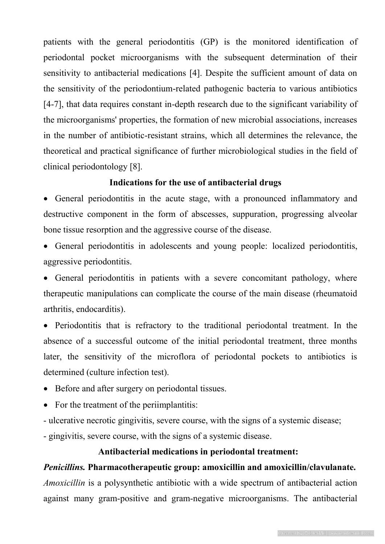patients with the general periodontitis (GP) is the monitored identification of periodontal pocket microorganisms with the subsequent determination of their sensitivity to antibacterial medications [4]. Despite the sufficient amount of data on the sensitivity of the periodontium-related pathogenic bacteria to various antibiotics [4-7], that data requires constant in-depth research due to the significant variability of the microorganisms' properties, the formation of new microbial associations, increases in the number of antibiotic-resistant strains, which all determines the relevance, the theoretical and practical significance of further microbiological studies in the field of clinical periodontology [8].

#### **Indications for the use of antibacterial drugs**

 General periodontitis in the acute stage, with a pronounced inflammatory and destructive component in the form of abscesses, suppuration, progressing alveolar bone tissue resorption and the aggressive course of the disease.

 General periodontitis in adolescents and young people: localized periodontitis, aggressive periodontitis.

• General periodontitis in patients with a severe concomitant pathology, where therapeutic manipulations can complicate the course of the main disease (rheumatoid arthritis, endocarditis).

 Periodontitis that is refractory to the traditional periodontal treatment. In the absence of a successful outcome of the initial periodontal treatment, three months later, the sensitivity of the microflora of periodontal pockets to antibiotics is determined (culture infection test).

• Before and after surgery on periodontal tissues.

• For the treatment of the periimplantitis:

- ulcerative necrotic gingivitis, severe course, with the signs of a systemic disease;

- gingivitis, severe course, with the signs of a systemic disease.

#### **Antibacterial medications in periodontal treatment:**

# *Penicillins.* **Pharmacotherapeutic group: amoxicillin and amoxicillin/clavulanate.**

*Amoxicillin* is a polysynthetic antibiotic with a wide spectrum of antibacterial action against many gram-positive and gram-negative microorganisms. The antibacterial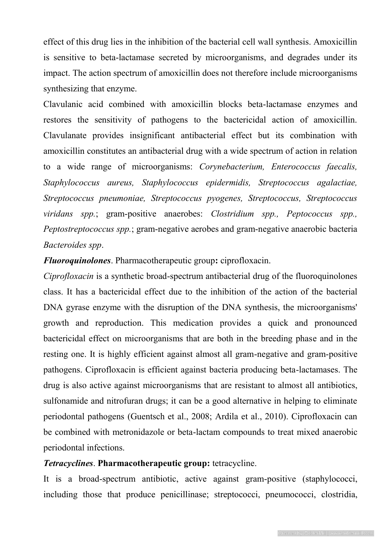effect of this drug lies in the inhibition of the bacterial cell wall synthesis. Amoxicillin is sensitive to beta-lactamase secreted by microorganisms, and degrades under its impact. The action spectrum of amoxicillin does not therefore include microorganisms synthesizing that enzyme.

Clavulanic acid combined with amoxicillin blocks beta-lactamase enzymes and restores the sensitivity of pathogens to the bactericidal action of amoxicillin. Clavulanate provides insignificant antibacterial effect but its combination with amoxicillin constitutes an antibacterial drug with a wide spectrum of action in relation to a wide range of microorganisms: *Corynebacterium, Enterococcus faecalis, Staphylococcus aureus, Staphylococcus epidermidis, Streptococcus agalactiae, Streptococcus pneumoniae, Streptococcus pyogenes, Streptococcus, Streptococcus viridans spp.*; gram-positive anaerobes: *Clostridium spp., Peptococcus spp., Peptostreptococcus spp.*; gram-negative aerobes and gram-negative anaerobic bacteria *Bacteroides spp*.

*Fluoroquinolones*. Pharmacotherapeutic group**:** ciprofloxacin.

*Ciprofloxacin* is a synthetic broad-spectrum antibacterial drug of the fluoroquinolones class. It has a bactericidal effect due to the inhibition of the action of the bacterial DNA gyrase enzyme with the disruption of the DNA synthesis, the microorganisms' growth and reproduction. This medication provides a quick and pronounced bactericidal effect on microorganisms that are both in the breeding phase and in the resting one. It is highly efficient against almost all gram-negative and gram-positive pathogens. Ciprofloxacin is efficient against bacteria producing beta-lactamases. The drug is also active against microorganisms that are resistant to almost all antibiotics, sulfonamide and nitrofuran drugs; it can be a good alternative in helping to eliminate periodontal pathogens (Guentsch et al., 2008; Ardila et al., 2010). Ciprofloxacin can be combined with metronidazole or beta-lactam compounds to treat mixed anaerobic periodontal infections.

# *Tetracyclines*. **Pharmacotherapeutic group:** tetracycline.

It is a broad-spectrum antibiotic, active against gram-positive (staphylococci, including those that produce penicillinase; streptococci, pneumococci, clostridia,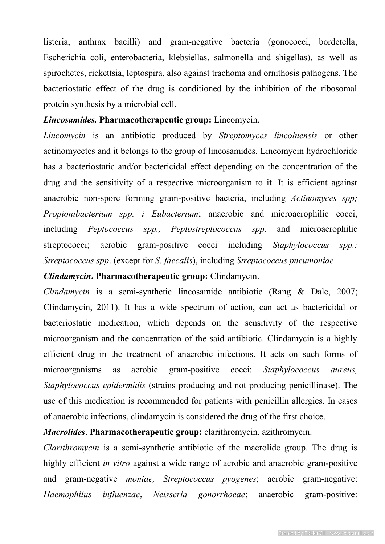listeria, anthrax bacilli) and gram-negative bacteria (gonococci, bordetella, Escherichia coli, enterobacteria, klebsiellas, salmonella and shigellas), as well as spirochetes, rickettsia, leptospira, also against trachoma and ornithosis pathogens. The bacteriostatic effect of the drug is conditioned by the inhibition of the ribosomal protein synthesis by a microbial cell.

## *Lincosamides.* **Pharmacotherapeutic group:** Lincomycin.

*Lincomycin* is an antibiotic produced by *Streptomyces lincolnensis* or other actinomycetes and it belongs to the group of lincosamides. Lincomycin hydrochloride has a bacteriostatic and/or bactericidal effect depending on the concentration of the drug and the sensitivity of a respective microorganism to it. It is efficient against anaerobic non-spore forming gram-positive bacteria, including *Actinomyces spp; Propionibacterium spp. i Eubacterium*; anaerobic and microaerophilic cocci, including *Peptococcus spp., Peptostreptococcus spp.* and microaerophilic streptococci; aerobic gram-positive cocci including *Staphylococcus spp.; Streptococcus spp*. (except for *S. faecalis*), including *Streptococcus pneumoniae*.

# *Clindamycin***. Pharmacotherapeutic group:** Clindamycin.

*Clindamycin* is a semi-synthetic lincosamide antibiotic (Rang & Dale, 2007; Clindamycin, 2011). It has a wide spectrum of action, can act as bactericidal or bacteriostatic medication, which depends on the sensitivity of the respective microorganism and the concentration of the said antibiotic. Clindamycin is a highly efficient drug in the treatment of anaerobic infections. It acts on such forms of microorganisms as aerobic gram-positive cocci: *Staphylococcus aureus, Staphylococcus epidermidis* (strains producing and not producing penicillinase). The use of this medication is recommended for patients with penicillin allergies. In cases of anaerobic infections, clindamycin is considered the drug of the first choice.

# *Macrolides*. **Pharmacotherapeutic group:** clarithromycin, azithromycin.

*Clarithromycin* is a semi-synthetic antibiotic of the macrolide group. The drug is highly efficient *in vitro* against a wide range of aerobic and anaerobic gram-positive and gram-negative *moniae, Streptococcus pyogenes*; aerobic gram-negative: *Haemophilus influenzae*, *Neisseria gonorrhoeae*; anaerobic gram-positive: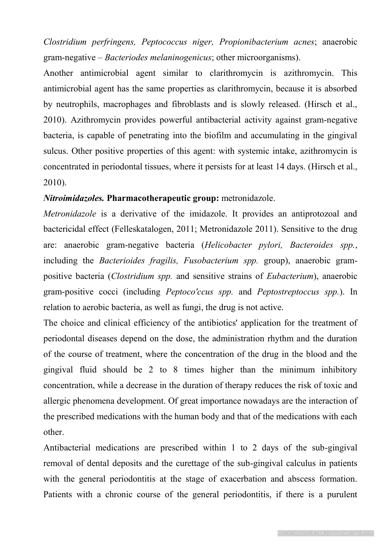*Clostridium perfringens, Peptococcus niger, Propionibacterium acnes*; anaerobic gram-negative – *Bacteriodes melaninogenicus*; other microorganisms).

Another antimicrobial agent similar to clarithromycin is azithromycin. This antimicrobial agent has the same properties as clarithromycin, because it is absorbed by neutrophils, macrophages and fibroblasts and is slowly released. (Hirsch et al., 2010). Azithromycin provides powerful antibacterial activity against gram-negative bacteria, is capable of penetrating into the biofilm and accumulating in the gingival sulcus. Other positive properties of this agent: with systemic intake, azithromycin is concentrated in periodontal tissues, where it persists for at least 14 days. (Hirsch et al., 2010).

# *Nitroimidazoles.* **Pharmacotherapeutic group:** metronidazole.

*Metronidazole* is a derivative of the imidazole. It provides an antiprotozoal and bactericidal effect (Felleskatalogen, 2011; Metronidazole 2011). Sensitive to the drug are: anaerobic gram-negative bacteria (*Helicobacter pylori, Bacteroides spp.*, including the *Bacterioides fragilis, Fusobacterium spp.* group), anaerobic grampositive bacteria (*Clostridium spp.* and sensitive strains of *Eubacterium*), anaerobic gram-positive cocci (including *Peptoco'ccus spp.* and *Peptostreptoccus spp.*). In relation to aerobic bacteria, as well as fungi, the drug is not active.

The choice and clinical efficiency of the antibiotics' application for the treatment of periodontal diseases depend on the dose, the administration rhythm and the duration of the course of treatment, where the concentration of the drug in the blood and the gingival fluid should be 2 to 8 times higher than the minimum inhibitory concentration, while a decrease in the duration of therapy reduces the risk of toxic and allergic phenomena development. Of great importance nowadays are the interaction of the prescribed medications with the human body and that of the medications with each other.

Antibacterial medications are prescribed within 1 to 2 days of the sub-gingival removal of dental deposits and the curettage of the sub-gingival calculus in patients with the general periodontitis at the stage of exacerbation and abscess formation. Patients with a chronic course of the general periodontitis, if there is a purulent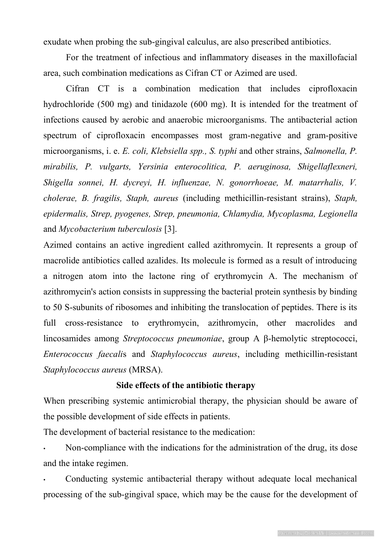exudate when probing the sub-gingival calculus, are also prescribed antibiotics.

 For the treatment of infectious and inflammatory diseases in the maxillofacial area, such combination medications as Cifran CT or Azimed are used.

 Cifran CT is a combination medication that includes ciprofloxacin hydrochloride (500 mg) and tinidazole (600 mg). It is intended for the treatment of infections caused by aerobic and anaerobic microorganisms. The antibacterial action spectrum of ciprofloxacin encompasses most gram-negative and gram-positive microorganisms, i. e. *E. coli, Klebsiella spp., S. typhi* and other strains, *Salmonella, P. mirabilis, P. vulgarts, Yersinia enterocolitica, P. aeruginosa, Shigellaflexneri, Shigella sonnei, H. dycreyi, H. influenzae, N. gonorrhoeae, M. matarrhalis, V. cholerae, B. fragilis, Staph, aureus* (including methicillin-resistant strains), *Staph, epidermalis, Strep, pyogenes, Strep, pneumonia, Chlamydia, Mycoplasma, Legionella* and *Mycobacterium tuberculosis* [3].

Azimed contains an active ingredient called azithromycin. It represents a group of macrolide antibiotics called azalides. Its molecule is formed as a result of introducing a nitrogen atom into the lactone ring of erythromycin A. The mechanism of azithromycin's action consists in suppressing the bacterial protein synthesis by binding to 50 S-subunits of ribosomes and inhibiting the translocation of peptides. There is its full cross-resistance to erythromycin, azithromycin, other macrolides and lincosamides among *Streptococcus pneumoniae*, group A β-hemolytic streptococci, *Enterococcus faecali*s and *Staphylococcus aureus*, including methicillin-resistant *Staphylococcus aureus* (MRSA).

# **Side effects of the antibiotic therapy**

When prescribing systemic antimicrobial therapy, the physician should be aware of the possible development of side effects in patients.

The development of bacterial resistance to the medication:

• Non-compliance with the indications for the administration of the drug, its dose and the intake regimen.

• Conducting systemic antibacterial therapy without adequate local mechanical processing of the sub-gingival space, which may be the cause for the development of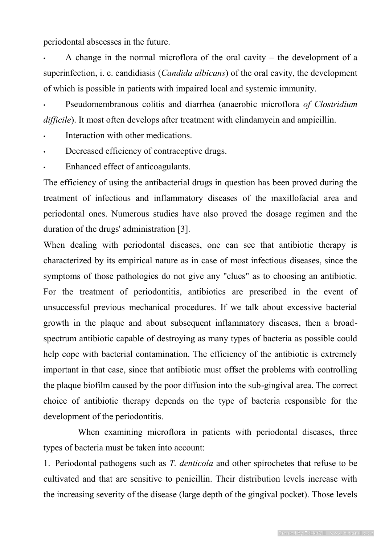periodontal abscesses in the future.

A change in the normal microflora of the oral cavity – the development of a superinfection, i. e. candidiasis (*Candida albicans*) of the oral cavity, the development of which is possible in patients with impaired local and systemic immunity.

• Pseudomembranous colitis and diarrhea (anaerobic microflora *of Clostridium difficile*). It most often develops after treatment with clindamycin and ampicillin.

Interaction with other medications.

- Decreased efficiency of contraceptive drugs.
- Enhanced effect of anticoagulants.

The efficiency of using the antibacterial drugs in question has been proved during the treatment of infectious and inflammatory diseases of the maxillofacial area and periodontal ones. Numerous studies have also proved the dosage regimen and the duration of the drugs' administration [3].

When dealing with periodontal diseases, one can see that antibiotic therapy is characterized by its empirical nature as in case of most infectious diseases, since the symptoms of those pathologies do not give any "clues" as to choosing an antibiotic. For the treatment of periodontitis, antibiotics are prescribed in the event of unsuccessful previous mechanical procedures. If we talk about excessive bacterial growth in the plaque and about subsequent inflammatory diseases, then a broadspectrum antibiotic capable of destroying as many types of bacteria as possible could help cope with bacterial contamination. The efficiency of the antibiotic is extremely important in that case, since that antibiotic must offset the problems with controlling the plaque biofilm caused by the poor diffusion into the sub-gingival area. The correct choice of antibiotic therapy depends on the type of bacteria responsible for the development of the periodontitis.

When examining microflora in patients with periodontal diseases, three types of bacteria must be taken into account:

1. Periodontal pathogens such as *T. denticola* and other spirochetes that refuse to be cultivated and that are sensitive to penicillin. Their distribution levels increase with the increasing severity of the disease (large depth of the gingival pocket). Those levels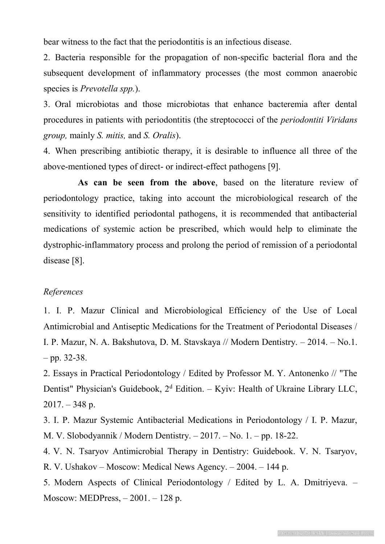bear witness to the fact that the periodontitis is an infectious disease.

2. Bacteria responsible for the propagation of non-specific bacterial flora and the subsequent development of inflammatory processes (the most common anaerobic species is *Prevotella spp.*).

3. Oral microbiotas and those microbiotas that enhance bacteremia after dental procedures in patients with periodontitis (the streptococci of the *periodontiti Viridans group,* mainly *S. mitis,* and *S. Oralis*).

4. When prescribing antibiotic therapy, it is desirable to influence all three of the above-mentioned types of direct- or indirect-effect pathogens [9].

**As can be seen from the above**, based on the literature review of periodontology practice, taking into account the microbiological research of the sensitivity to identified periodontal pathogens, it is recommended that antibacterial medications of systemic action be prescribed, which would help to eliminate the dystrophic-inflammatory process and prolong the period of remission of a periodontal disease [8].

# *References*

1. I. P. Mazur Clinical and Microbiological Efficiency of the Use of Local Antimicrobial and Antiseptic Medications for the Treatment of Periodontal Diseases / I. P. Mazur, N. A. Bakshutova, D. M. Stavskaya // Modern Dentistry. – 2014. – No.1.  $-$  pp. 32-38.

2. Essays in Practical Periodontology / Edited by Professor M. Y. Antonenko // "The Dentist" Physician's Guidebook,  $2<sup>d</sup>$  Edition. – Kyiv: Health of Ukraine Library LLC,  $2017. - 348$  p.

3. I. P. Mazur Systemic Antibacterial Medications in Periodontology / I. P. Mazur, M. V. Slobodyannik / Modern Dentistry. – 2017. – No. 1. – pp. 18-22.

4. V. N. Tsaryov Antimicrobial Therapy in Dentistry: Guidebook. V. N. Tsaryov, R. V. Ushakov – Moscow: Medical News Agency. – 2004. – 144 p.

5. Modern Aspects of Clinical Periodontology / Edited by L. A. Dmitriyeva. – Moscow: MEDPress, – 2001. – 128 p.